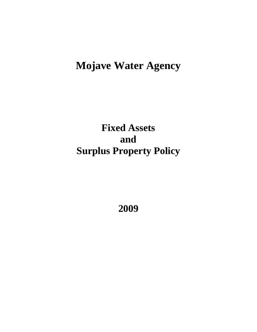# **Mojave Water Agency**

**Fixed Assets and Surplus Property Policy**

**2009**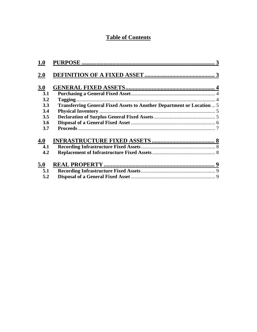## **Table of Contents**

| 1.0 |                                                                        |  |
|-----|------------------------------------------------------------------------|--|
| 2.0 |                                                                        |  |
| 3.0 |                                                                        |  |
| 3.1 |                                                                        |  |
| 3.2 | Tagging                                                                |  |
| 3.3 | Transferring General Fixed Assets to Another Department or Location  5 |  |
| 3.4 |                                                                        |  |
| 3.5 |                                                                        |  |
| 3.6 |                                                                        |  |
| 3.7 |                                                                        |  |
| 4.0 |                                                                        |  |
| 4.1 |                                                                        |  |
| 4.2 |                                                                        |  |
| 5.0 |                                                                        |  |
| 5.1 |                                                                        |  |
| 5.2 |                                                                        |  |
|     |                                                                        |  |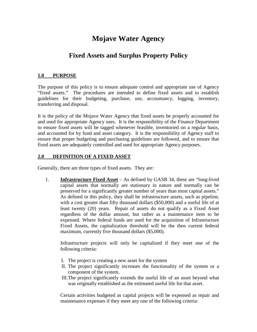# **Mojave Water Agency**

### **Fixed Assets and Surplus Property Policy**

#### **1.0 PURPOSE**

The purpose of this policy is to ensure adequate control and appropriate use of Agency "fixed assets." The procedures are intended to define fixed assets and to establish guidelines for their budgeting, purchase, use, accountancy, logging, inventory, transferring and disposal.

It is the policy of the Mojave Water Agency that fixed assets be properly accounted for and used for appropriate Agency uses. It is the responsibility of the Finance Department to ensure fixed assets will be tagged whenever feasible, inventoried on a regular basis, and accounted for by fund and asset category. It is the responsibility of Agency staff to ensure that proper budgeting and purchasing guidelines are followed, and to ensure that fixed assets are adequately controlled and used for appropriate Agency purposes.

#### **2.0 DEFINITION OF A FIXED ASSET**

Generally, there are three types of fixed assets. They are:

1. **Infrastructure Fixed Asset** – As defined by GASB 34, these are "long-lived capital assets that normally are stationary in nature and normally can be preserved for a significantly greater number of years than most capital assets." As defined in this policy, they shall be infrastructure assets, such as pipeline, with a cost greater than fifty thousand dollars (\$50,000) and a useful life of at least twenty (20) years. Repair of assets do not qualify as a Fixed Asset regardless of the dollar amount, but rather as a maintenance item to be expensed. Where federal funds are used for the acquisition of Infrastructure Fixed Assets, the capitalization threshold will be the then current federal maximum, currently five thousand dollars (\$5,000).

Infrastructure projects will only be capitalized if they meet one of the following criteria:

- I. The project is creating a new asset for the system
- II. The project significantly increases the functionality of the system or a component of the system.
- III.The project significantly extends the useful life of an asset beyond what was originally established as the estimated useful life for that asset.

Certain activities budgeted as capital projects will be expensed as repair and maintenance expenses if they meet any one of the following criteria: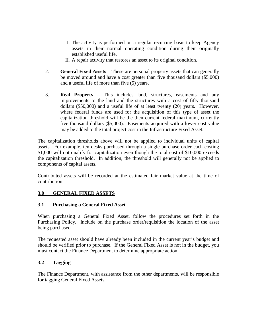- I. The activity is performed on a regular recurring basis to keep Agency assets in their normal operating condition during their originally established useful life.
- II. A repair activity that restores an asset to its original condition.
- 2. **General Fixed Assets** These are personal property assets that can generally be moved around and have a cost greater than five thousand dollars (\$5,000) and a useful life of more than five (5) years.
- 3. **Real Property** This includes land, structures, easements and any improvements to the land and the structures with a cost of fifty thousand dollars (\$50,000) and a useful life of at least twenty (20) years. However, where federal funds are used for the acquisition of this type of asset the capitalization threshold will be the then current federal maximum, currently five thousand dollars (\$5,000). Easements acquired with a lower cost value may be added to the total project cost in the Infrastructure Fixed Asset.

The capitalization thresholds above will not be applied to individual units of capital assets. For example, ten desks purchased through a single purchase order each costing \$1,000 will not qualify for capitalization even though the total cost of \$10,000 exceeds the capitalization threshold. In addition, the threshold will generally not be applied to components of capital assets.

Contributed assets will be recorded at the estimated fair market value at the time of contribution.

#### **3.0 GENERAL FIXED ASSETS**

#### **3.1 Purchasing a General Fixed Asset**

When purchasing a General Fixed Asset, follow the procedures set forth in the Purchasing Policy. Include on the purchase order/requisition the location of the asset being purchased.

The requested asset should have already been included in the current year's budget and should be verified prior to purchase. If the General Fixed Asset is not in the budget, you must contact the Finance Department to determine appropriate action.

#### **3.2 Tagging**

The Finance Department, with assistance from the other departments, will be responsible for tagging General Fixed Assets.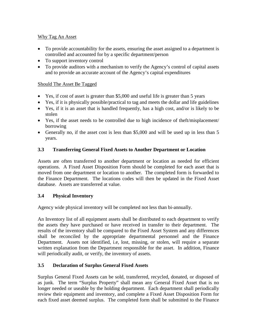#### Why Tag An Asset

- To provide accountability for the assets, ensuring the asset assigned to a department is controlled and accounted for by a specific department/person
- To support inventory control
- To provide auditors with a mechanism to verify the Agency's control of capital assets and to provide an accurate account of the Agency's capital expenditures

#### Should The Asset Be Tagged

- Yes, if cost of asset is greater than \$5,000 and useful life is greater than 5 years
- Yes, if it is physically possible/practical to tag and meets the dollar and life guidelines
- Yes, if it is an asset that is handled frequently, has a high cost, and/or is likely to be stolen
- Yes, if the asset needs to be controlled due to high incidence of theft/misplacement/ borrowing
- Generally no, if the asset cost is less than \$5,000 and will be used up in less than 5 years.

#### **3.3 Transferring General Fixed Assets to Another Department or Location**

Assets are often transferred to another department or location as needed for efficient operations. A Fixed Asset Disposition Form should be completed for each asset that is moved from one department or location to another. The completed form is forwarded to the Finance Department. The locations codes will then be updated in the Fixed Asset database. Assets are transferred at value.

#### **3.4 Physical Inventory**

Agency wide physical inventory will be completed not less than bi-annually.

An Inventory list of all equipment assets shall be distributed to each department to verify the assets they have purchased or have received in transfer to their department. The results of the inventory shall be compared to the Fixed Asset System and any differences shall be reconciled by the appropriate departmental personnel and the Finance Department. Assets not identified, i.e, lost, missing, or stolen, will require a separate written explanation from the Department responsible for the asset. In addition, Finance will periodically audit, or verify, the inventory of assets.

#### **3.5 Declaration of Surplus General Fixed Assets**

Surplus General Fixed Assets can be sold, transferred, recycled, donated, or disposed of as junk. The term "Surplus Property" shall mean any General Fixed Asset that is no longer needed or useable by the holding department. Each department shall periodically review their equipment and inventory, and complete a Fixed Asset Disposition Form for each fixed asset deemed surplus. The completed form shall be submitted to the Finance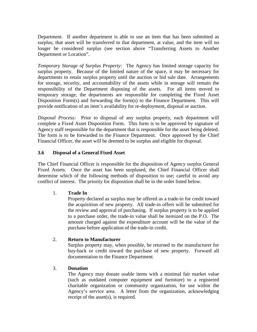Department. If another department is able to use an item that has been submitted as surplus, that asset will be transferred to that department, at value, and the item will no longer be considered surplus (see section above "Transferring Assets to Another Department or Location".

*Temporary Storage of Surplus Property:* The Agency has limited storage capacity for surplus property. Because of the limited nature of the space, it may be necessary for departments to retain surplus property until the auction or bid sale date. Arrangements for storage, security, and accountability of the assets while in storage will remain the responsibility of the Department disposing of the assets. For all items moved to temporary storage, the departments are responsible for completing the Fixed Asset Disposition Form(s) and forwarding the form(s) to the Finance Department. This will provide notification of an item's availability for re-deployment, disposal or auction.

*Disposal Process:* Prior to disposal of any surplus property, each department will complete a Fixed Asset Disposition Form. This form is to be approved by signature of Agency staff responsible for the department that is responsible for the asset being deleted. The form is to be forwarded to the Finance Department. Once approved by the Chief Financial Officer, the asset will be deemed to be surplus and eligible for disposal.

#### **3.6 Disposal of a General Fixed Asset**

The Chief Financial Officer is responsible for the disposition of Agency surplus General Fixed Assets.Once the asset has been surplused, the Chief Financial Officer shall determine which of the following methods of disposition to use; careful to avoid any conflict of interest. The priority for disposition shall be in the order listed below.

#### 1. **Trade In**

Property declared as surplus may be offered as a trade-in for credit toward the acquisition of new property. All trade-in offers will be submitted for the review and approval of purchasing. If surplus property is to be applied to a purchase order, the trade-in value shall be itemized on the P.O. The amount charged against the expenditure account will be the value of the purchase before application of the trade-in credit.

#### 2. **Return to Manufacturer**

Surplus property may, when possible, be returned to the manufacturer for buy-back or credit toward the purchase of new property. Forward all documentation to the Finance Department.

#### 3. **Donation**

The Agency may donate usable items with a minimal fair market value (such as outdated computer equipment and furniture) to a registered charitable organization or community organization, for use within the Agency's service area. A letter from the organization, acknowledging receipt of the asset(s), is required.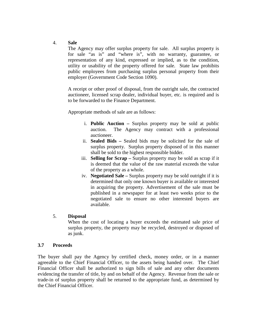#### 4. **Sale**

The Agency may offer surplus property for sale. All surplus property is for sale "as is" and "where is", with no warranty, guarantee, or representation of any kind, expressed or implied, as to the condition, utility or usability of the property offered for sale. State law prohibits public employees from purchasing surplus personal property from their employer (Government Code Section 1090).

A receipt or other proof of disposal, from the outright sale, the contracted auctioneer, licensed scrap dealer, individual buyer, etc. is required and is to be forwarded to the Finance Department.

Appropriate methods of sale are as follows:

- i. **Public Auction –** Surplus property may be sold at public auction. The Agency may contract with a professional auctioneer.
- ii. **Sealed Bids –** Sealed bids may be solicited for the sale of surplus property. Surplus property disposed of in this manner shall be sold to the highest responsible bidder.
- iii. **Selling for Scrap –** Surplus property may be sold as scrap if it is deemed that the value of the raw material exceeds the value of the property as a whole.
- iv. **Negotiated Sale –** Surplus property may be sold outright if it is determined that only one known buyer is available or interested in acquiring the property. Advertisement of the sale must be published in a newspaper for at least two weeks prior to the negotiated sale to ensure no other interested buyers are available.

#### 5. **Disposal**

When the cost of locating a buyer exceeds the estimated sale price of surplus property, the property may be recycled, destroyed or disposed of as junk.

#### **3.7 Proceeds**

The buyer shall pay the Agency by certified check, money order, or in a manner agreeable to the Chief Financial Officer, to the assets being handed over. The Chief Financial Officer shall be authorized to sign bills of sale and any other documents evidencing the transfer of title, by and on behalf of the Agency. Revenue from the sale or trade-in of surplus property shall be returned to the appropriate fund, as determined by the Chief Financial Officer.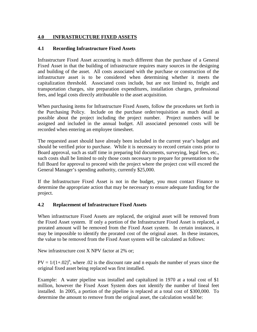#### **4.0 INFRASTRUCTURE FIXED ASSETS**

#### **4.1 Recording Infrastructure Fixed Assets**

Infrastructure Fixed Asset accounting is much different than the purchase of a General Fixed Asset in that the building of infrastructure requires many sources in the designing and building of the asset. All costs associated with the purchase or construction of the infrastructure asset is to be considered when determining whether it meets the capitalization threshold. Associated costs include, but are not limited to, freight and transportation charges, site preparation expenditures, installation charges, professional fees, and legal costs directly attributable to the asset acquisition.

When purchasing items for Infrastructure Fixed Assets, follow the procedures set forth in the Purchasing Policy. Include on the purchase order/requisition as much detail as possible about the project including the project number. Project numbers will be assigned and included in the annual budget. All associated personnel costs will be recorded when entering an employee timesheet.

The requested asset should have already been included in the current year's budget and should be verified prior to purchase. While it is necessary to record certain costs prior to Board approval, such as staff time in preparing bid documents, surveying, legal fees, etc., such costs shall be limited to only those costs necessary to prepare for presentation to the full Board for approval to proceed with the project where the project cost will exceed the General Manager's spending authority, currently \$25,000.

If the Infrastructure Fixed Asset is not in the budget, you must contact Finance to determine the appropriate action that may be necessary to ensure adequate funding for the project.

#### **4.2 Replacement of Infrastructure Fixed Assets**

When infrastructure Fixed Assets are replaced, the original asset will be removed from the Fixed Asset system. If only a portion of the Infrastructure Fixed Asset is replaced, a prorated amount will be removed from the Fixed Asset system. In certain instances, it may be impossible to identify the prorated cost of the original asset. In these instances, the value to be removed from the Fixed Asset system will be calculated as follows:

New infrastructure cost X NPV factor at 2% or;

 $PV = 1/(1+.02)^n$ , where .02 is the discount rate and n equals the number of years since the original fixed asset being replaced was first installed.

Example: A water pipeline was installed and capitalized in 1970 at a total cost of \$1 million, however the Fixed Asset System does not identify the number of lineal feet installed. In 2005, a portion of the pipeline is replaced at a total cost of \$300,000. To determine the amount to remove from the original asset, the calculation would be: